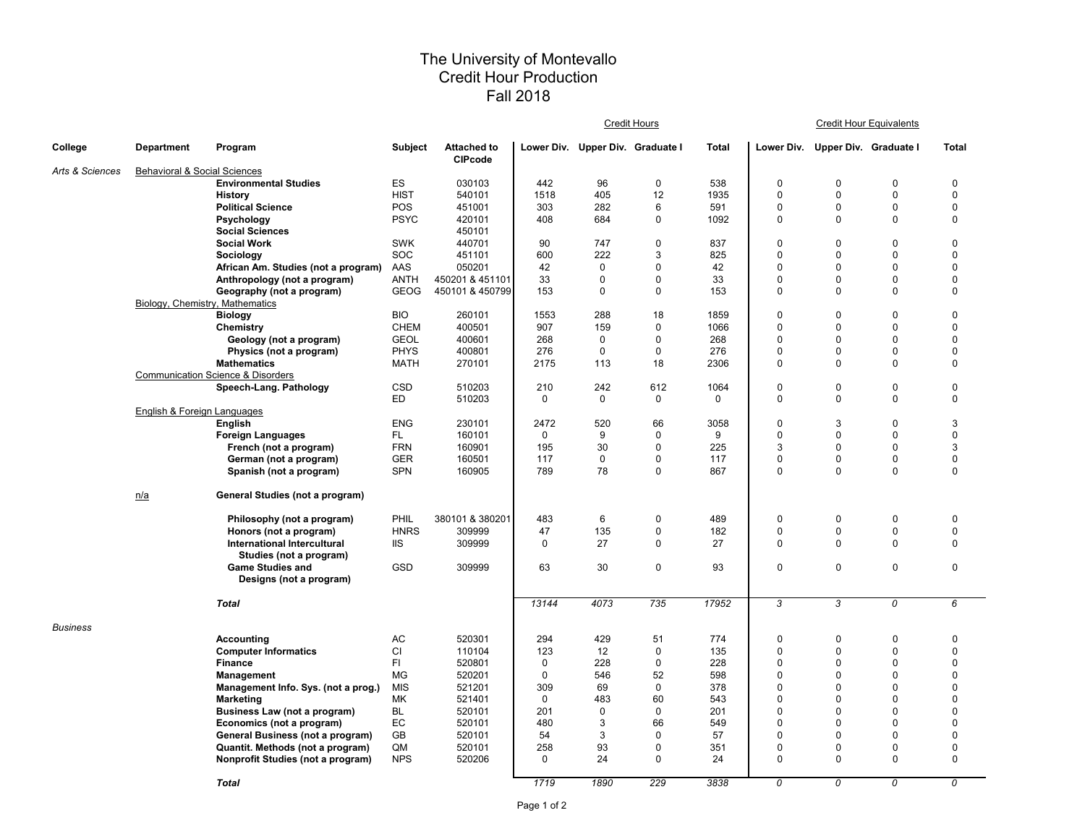## The University of Montevallo Credit Hour Production Fall 2018

|                 |                                         |                                              |                |                                      | <b>Credit Hours</b> |                                  |             |              | <b>Credit Hour Equivalents</b> |                                  |             |                         |  |
|-----------------|-----------------------------------------|----------------------------------------------|----------------|--------------------------------------|---------------------|----------------------------------|-------------|--------------|--------------------------------|----------------------------------|-------------|-------------------------|--|
| College         | <b>Department</b>                       | Program                                      | <b>Subject</b> | <b>Attached to</b><br><b>CIPcode</b> |                     | Lower Div. Upper Div. Graduate I |             | <b>Total</b> |                                | Lower Div. Upper Div. Graduate I |             | Total                   |  |
| Arts & Sciences | <b>Behavioral &amp; Social Sciences</b> |                                              |                |                                      |                     |                                  |             |              |                                |                                  |             |                         |  |
|                 |                                         | <b>Environmental Studies</b>                 | ES             | 030103                               | 442                 | 96                               | 0           | 538          | $\Omega$                       | $\mathbf 0$                      | $\mathbf 0$ | $\mathbf 0$             |  |
|                 |                                         | <b>History</b>                               | <b>HIST</b>    | 540101                               | 1518                | 405                              | 12          | 1935         | $\mathbf 0$                    | $\mathbf 0$                      | $\mathbf 0$ | $\mathbf 0$             |  |
|                 |                                         | <b>Political Science</b>                     | <b>POS</b>     | 451001                               | 303                 | 282                              | 6           | 591          | 0                              | $\mathbf 0$                      | 0           | $\mathbf 0$             |  |
|                 |                                         | Psychology<br><b>Social Sciences</b>         | <b>PSYC</b>    | 420101<br>450101                     | 408                 | 684                              | $\mathbf 0$ | 1092         | $\mathbf 0$                    | $\Omega$                         | $\mathbf 0$ | $\mathbf 0$             |  |
|                 |                                         | <b>Social Work</b>                           | <b>SWK</b>     | 440701                               | 90                  | 747                              | 0           | 837          | $\mathbf 0$                    | $\Omega$                         | $\mathbf 0$ | $\mathbf 0$             |  |
|                 |                                         | Sociology                                    | <b>SOC</b>     | 451101                               | 600                 | 222                              | 3           | 825          | $\mathbf 0$                    | $\Omega$                         | $\Omega$    | $\mathbf 0$             |  |
|                 |                                         | African Am. Studies (not a program)          | AAS            | 050201                               | 42                  | $\mathbf 0$                      | $\mathbf 0$ | 42           | $\Omega$                       | $\Omega$                         | $\mathbf 0$ | $\mathbf 0$             |  |
|                 |                                         | Anthropology (not a program)                 | <b>ANTH</b>    | 450201 & 451101                      | 33                  | $\mathbf 0$                      | $\mathbf 0$ | 33           | $\mathbf 0$                    | $\Omega$                         | $\mathbf 0$ | $\mathbf 0$             |  |
|                 |                                         | Geography (not a program)                    | <b>GEOG</b>    | 450101 & 450799                      | 153                 | $\mathbf 0$                      | $\mathbf 0$ | 153          | $\mathbf 0$                    | $\Omega$                         | $\Omega$    | $\mathbf 0$             |  |
|                 | Biology, Chemistry, Mathematics         |                                              |                |                                      |                     |                                  |             |              |                                |                                  |             |                         |  |
|                 |                                         | <b>Biology</b>                               | <b>BIO</b>     | 260101                               | 1553                | 288                              | 18          | 1859         | $\mathbf 0$                    | $\Omega$<br>$\Omega$             | $\mathbf 0$ | $\pmb{0}$               |  |
|                 |                                         | Chemistry                                    | <b>CHEM</b>    | 400501                               | 907                 | 159                              | $\mathbf 0$ | 1066         | $\Omega$<br>$\Omega$           | $\Omega$                         | $\Omega$    | $\mathbf 0$<br>$\Omega$ |  |
|                 |                                         | Geology (not a program)                      | <b>GEOL</b>    | 400601                               | 268                 | $\mathbf 0$                      | 0           | 268          |                                |                                  | $\Omega$    |                         |  |
|                 |                                         | Physics (not a program)                      | <b>PHYS</b>    | 400801                               | 276                 | 0                                | 0           | 276          | $\mathbf 0$                    | $\mathbf 0$                      | 0           | $\mathbf 0$             |  |
|                 |                                         | <b>Mathematics</b>                           | <b>MATH</b>    | 270101                               | 2175                | 113                              | 18          | 2306         | $\mathbf 0$                    | $\Omega$                         | $\mathbf 0$ | $\mathbf 0$             |  |
|                 |                                         | <b>Communication Science &amp; Disorders</b> |                |                                      |                     |                                  |             |              |                                |                                  |             |                         |  |
|                 |                                         | Speech-Lang. Pathology                       | CSD            | 510203                               | 210                 | 242                              | 612         | 1064         | $\mathbf 0$                    | $\mathbf 0$                      | $\pmb{0}$   | $\mathbf 0$             |  |
|                 |                                         |                                              | <b>ED</b>      | 510203                               | $\mathbf 0$         | $\mathbf 0$                      | 0           | $\mathbf 0$  | $\mathbf 0$                    | 0                                | $\mathbf 0$ | $\mathbf 0$             |  |
|                 | <b>English &amp; Foreign Languages</b>  |                                              |                |                                      |                     |                                  |             |              |                                |                                  |             |                         |  |
|                 |                                         | English                                      | <b>ENG</b>     | 230101                               | 2472                | 520                              | 66          | 3058         | $\mathbf 0$                    | 3<br>$\Omega$                    | $\mathbf 0$ | 3                       |  |
|                 |                                         | <b>Foreign Languages</b>                     | FL.            | 160101                               | $\mathbf 0$         | 9                                | $\pmb{0}$   | 9            | $\mathbf 0$                    |                                  | $\mathbf 0$ | $\mathbf 0$             |  |
|                 |                                         | French (not a program)                       | <b>FRN</b>     | 160901                               | 195                 | 30                               | $\mathbf 0$ | 225          | 3                              | $\Omega$                         | $\mathbf 0$ | 3                       |  |
|                 |                                         | German (not a program)                       | <b>GER</b>     | 160501                               | 117                 | 0                                | 0           | 117          | 0                              | 0                                | 0           | $\mathbf 0$             |  |
|                 |                                         | Spanish (not a program)                      | <b>SPN</b>     | 160905                               | 789                 | 78                               | $\mathbf 0$ | 867          | $\mathbf 0$                    | $\Omega$                         | $\mathbf 0$ | $\mathbf 0$             |  |
|                 | n/a                                     | General Studies (not a program)              |                |                                      |                     |                                  |             |              |                                |                                  |             |                         |  |
|                 |                                         | Philosophy (not a program)                   | PHIL           | 380101 & 380201                      | 483                 | 6                                | $\mathbf 0$ | 489          | $\Omega$                       | $\Omega$                         | $\Omega$    | $\mathbf 0$             |  |
|                 |                                         | Honors (not a program)                       | <b>HNRS</b>    | 309999                               | 47                  | 135                              | 0           | 182          | 0                              | $\mathbf 0$                      | 0           | $\mathbf 0$             |  |
|                 |                                         | International Intercultural                  | <b>IIS</b>     | 309999                               | $\Omega$            | 27                               | $\mathbf 0$ | 27           | $\mathbf 0$                    | $\Omega$                         | $\mathbf 0$ | $\mathbf 0$             |  |
|                 |                                         | Studies (not a program)                      |                |                                      |                     |                                  |             |              |                                |                                  |             |                         |  |
|                 |                                         | <b>Game Studies and</b>                      | GSD            | 309999                               | 63                  | 30                               | $\pmb{0}$   | 93           | 0                              | $\Omega$                         | $\mathbf 0$ | $\mathbf 0$             |  |
|                 |                                         | Designs (not a program)                      |                |                                      |                     |                                  |             |              |                                |                                  |             |                         |  |
|                 |                                         | <b>Total</b>                                 |                |                                      | 13144               | 4073                             | 735         | 17952        | 3                              | 3                                | 0           | 6                       |  |
| <b>Business</b> |                                         |                                              |                |                                      |                     |                                  |             |              |                                |                                  |             |                         |  |
|                 |                                         | <b>Accounting</b>                            | AC             | 520301                               | 294                 | 429                              | 51          | 774          | 0                              | $\mathbf 0$                      | 0           | $\pmb{0}$               |  |
|                 |                                         | <b>Computer Informatics</b>                  | <b>CI</b>      | 110104                               | 123                 | 12                               | $\pmb{0}$   | 135          | $\mathbf 0$                    | $\Omega$                         | $\mathbf 0$ | $\mathbf 0$             |  |
|                 |                                         | <b>Finance</b>                               | FI             | 520801                               | $\mathbf 0$         | 228                              | 0           | 228          | $\Omega$                       | $\mathbf 0$                      | $\mathbf 0$ | $\mathbf 0$             |  |
|                 |                                         | <b>Management</b>                            | <b>MG</b>      | 520201                               | 0                   | 546                              | 52          | 598          | $\mathbf 0$                    | $\Omega$                         | $\pmb{0}$   | $\mathbf 0$             |  |
|                 |                                         | Management Info. Sys. (not a prog.)          | <b>MIS</b>     | 521201                               | 309                 | 69                               | $\mathbf 0$ | 378          | $\mathbf 0$                    | $\Omega$                         | $\mathbf 0$ | $\mathbf 0$             |  |
|                 |                                         | <b>Marketing</b>                             | MK             | 521401                               | $\mathbf 0$         | 483                              | 60          | 543          | $\Omega$                       | $\mathbf 0$                      | $\mathbf 0$ | $\mathbf 0$             |  |
|                 |                                         | Business Law (not a program)                 | BL             | 520101                               | 201                 | 0                                | 0           | 201          | $\mathbf 0$                    | $\Omega$                         | $\mathbf 0$ | $\mathbf 0$             |  |
|                 |                                         | Economics (not a program)                    | EC             | 520101                               | 480                 | 3                                | 66          | 549          | $\mathbf 0$                    | $\Omega$                         | $\mathbf 0$ | $\mathbf 0$             |  |
|                 |                                         | General Business (not a program)             | GB             | 520101                               | 54                  | 3                                | 0           | 57           | $\Omega$                       | $\mathbf 0$                      | $\mathbf 0$ | $\mathbf 0$             |  |
|                 |                                         | Quantit. Methods (not a program)             | QM             | 520101                               | 258                 | 93                               | 0           | 351          | 0                              | 0                                | 0           | $\mathbf 0$             |  |
|                 |                                         | Nonprofit Studies (not a program)            | <b>NPS</b>     | 520206                               | $\mathbf 0$         | 24                               | $\mathbf 0$ | 24           | $\mathbf 0$                    | 0                                | $\mathbf 0$ | $\mathbf 0$             |  |
|                 |                                         |                                              |                |                                      |                     |                                  |             |              |                                |                                  |             |                         |  |
|                 |                                         | <b>Total</b>                                 |                |                                      | 1719                | 1890                             | 229         | 3838         | 0                              | 0                                | 0           | 0                       |  |